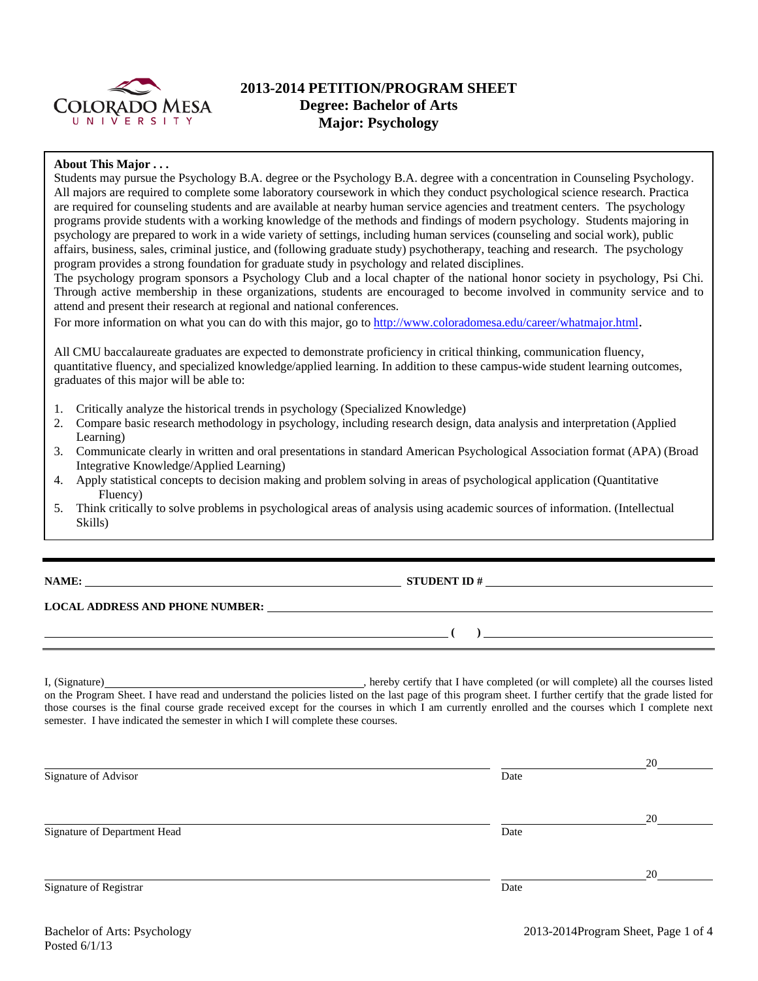

# **2013-2014 PETITION/PROGRAM SHEET Degree: Bachelor of Arts Major: Psychology**

### **About This Major . . .**

Students may pursue the Psychology B.A. degree or the Psychology B.A. degree with a concentration in Counseling Psychology. All majors are required to complete some laboratory coursework in which they conduct psychological science research. Practica are required for counseling students and are available at nearby human service agencies and treatment centers. The psychology programs provide students with a working knowledge of the methods and findings of modern psychology. Students majoring in psychology are prepared to work in a wide variety of settings, including human services (counseling and social work), public affairs, business, sales, criminal justice, and (following graduate study) psychotherapy, teaching and research. The psychology program provides a strong foundation for graduate study in psychology and related disciplines.

The psychology program sponsors a Psychology Club and a local chapter of the national honor society in psychology, Psi Chi. Through active membership in these organizations, students are encouraged to become involved in community service and to attend and present their research at regional and national conferences.

For more information on what you can do with this major, go to http://www.coloradomesa.edu/career/whatmajor.html.

All CMU baccalaureate graduates are expected to demonstrate proficiency in critical thinking, communication fluency, quantitative fluency, and specialized knowledge/applied learning. In addition to these campus-wide student learning outcomes, graduates of this major will be able to:

- 1. Critically analyze the historical trends in psychology (Specialized Knowledge)
- 2. Compare basic research methodology in psychology, including research design, data analysis and interpretation (Applied Learning)
- 3. Communicate clearly in written and oral presentations in standard American Psychological Association format (APA) (Broad Integrative Knowledge/Applied Learning)
- 4. Apply statistical concepts to decision making and problem solving in areas of psychological application (Quantitative Fluency)
- 5. Think critically to solve problems in psychological areas of analysis using academic sources of information. (Intellectual Skills)

**NAME: STUDENT ID #**

## **LOCAL ADDRESS AND PHONE NUMBER:**

I, (Signature) , hereby certify that I have completed (or will complete) all the courses listed on the Program Sheet. I have read and understand the policies listed on the last page of this program sheet. I further certify that the grade listed for those courses is the final course grade received except for the courses in which I am currently enrolled and the courses which I complete next semester. I have indicated the semester in which I will complete these courses.

|                              |      | 20 |
|------------------------------|------|----|
| Signature of Advisor         | Date |    |
|                              |      |    |
|                              |      | 20 |
| Signature of Department Head | Date |    |
|                              |      |    |
|                              |      | 20 |
| Signature of Registrar       | Date |    |
|                              |      |    |

 **( )**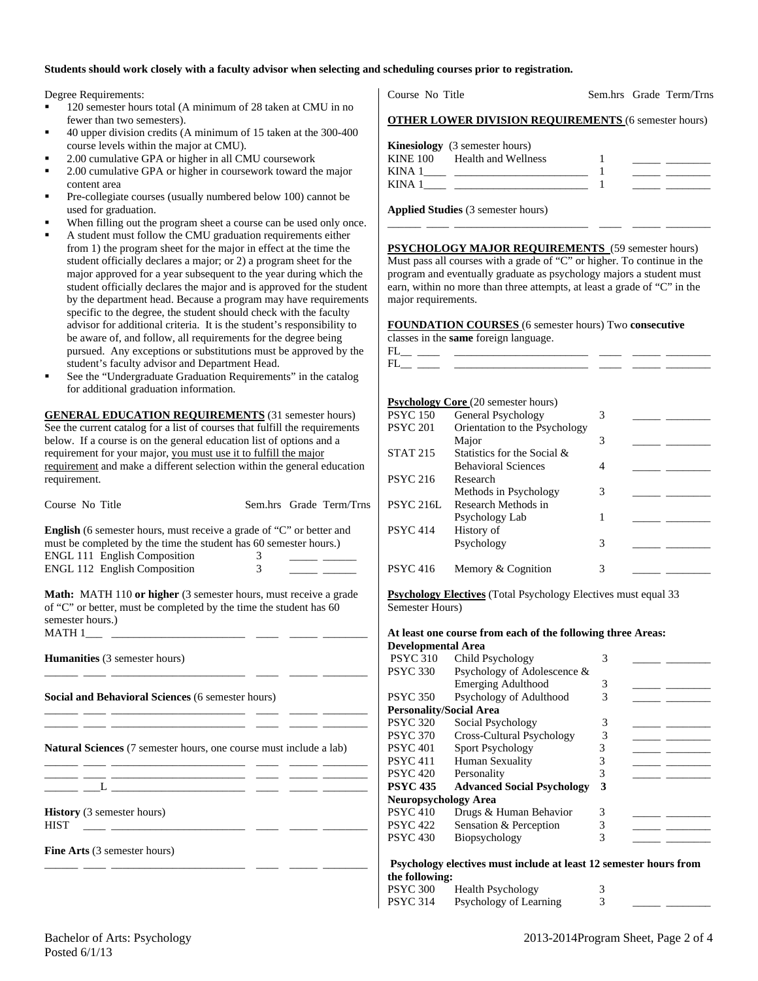### **Students should work closely with a faculty advisor when selecting and scheduling courses prior to registration.**

Degree Requirements:

- 120 semester hours total (A minimum of 28 taken at CMU in no fewer than two semesters).
- 40 upper division credits (A minimum of 15 taken at the 300-400 course levels within the major at CMU).
- 2.00 cumulative GPA or higher in all CMU coursework
- 2.00 cumulative GPA or higher in coursework toward the major content area
- Pre-collegiate courses (usually numbered below 100) cannot be used for graduation.
- When filling out the program sheet a course can be used only once.
- A student must follow the CMU graduation requirements either from 1) the program sheet for the major in effect at the time the student officially declares a major; or 2) a program sheet for the major approved for a year subsequent to the year during which the student officially declares the major and is approved for the student by the department head. Because a program may have requirements specific to the degree, the student should check with the faculty advisor for additional criteria. It is the student's responsibility to be aware of, and follow, all requirements for the degree being pursued. Any exceptions or substitutions must be approved by the student's faculty advisor and Department Head.
- See the "Undergraduate Graduation Requirements" in the catalog for additional graduation information.

**GENERAL EDUCATION REQUIREMENTS** (31 semester hours) See the current catalog for a list of courses that fulfill the requirements below. If a course is on the general education list of options and a requirement for your major, you must use it to fulfill the major requirement and make a different selection within the general education requirement.

| Course No Title                                                                                                                                                                                     |                    |  | Sem.hrs Grade Term/Trns |  |  |  |  |  |
|-----------------------------------------------------------------------------------------------------------------------------------------------------------------------------------------------------|--------------------|--|-------------------------|--|--|--|--|--|
| <b>English</b> (6 semester hours, must receive a grade of "C" or better and<br>must be completed by the time the student has 60 semester hours.)                                                    |                    |  |                         |  |  |  |  |  |
| <b>ENGL 111 English Composition</b><br>ENGL 112 English Composition                                                                                                                                 | 3<br>$\mathcal{E}$ |  |                         |  |  |  |  |  |
| <b>Math:</b> MATH 110 or higher (3 semester hours, must receive a grade<br>of "C" or better, must be completed by the time the student has 60<br>semester hours.)                                   |                    |  |                         |  |  |  |  |  |
| <b>Humanities</b> (3 semester hours)                                                                                                                                                                |                    |  |                         |  |  |  |  |  |
| Social and Behavioral Sciences (6 semester hours)<br><u> 1989 - Johann Barn, mars ann an t-Amhair ann an t-A</u>                                                                                    |                    |  |                         |  |  |  |  |  |
| <b>Natural Sciences</b> (7 semester hours, one course must include a lab)<br><u> 1989 - Johann Stein, mars et al. 1989 - Anna ann an t-Anna ann an t-Anna ann an t-Anna ann an t-Anna ann an t-</u> |                    |  |                         |  |  |  |  |  |
| <u> 1989 - Jan James Jan Salam Barat (j. 1918)</u>                                                                                                                                                  |                    |  |                         |  |  |  |  |  |
| <b>History</b> (3 semester hours)<br><b>HIST</b>                                                                                                                                                    |                    |  |                         |  |  |  |  |  |
| Fine Arts (3 semester hours)                                                                                                                                                                        |                    |  |                         |  |  |  |  |  |
|                                                                                                                                                                                                     |                    |  |                         |  |  |  |  |  |

Course No Title Sem.hrs Grade Term/Trns

**OTHER LOWER DIVISION REQUIREMENTS** (6 semester hours)

|                 | <b>Kinesiology</b> (3 semester hours) |  |  |
|-----------------|---------------------------------------|--|--|
| <b>KINE 100</b> | Health and Wellness                   |  |  |
| KINA 1          |                                       |  |  |
| KINA 1          |                                       |  |  |
|                 |                                       |  |  |

\_\_\_\_\_\_ \_\_\_\_ \_\_\_\_\_\_\_\_\_\_\_\_\_\_\_\_\_\_\_\_\_\_\_\_ \_\_\_\_ \_\_\_\_\_ \_\_\_\_\_\_\_\_

**Applied Studies** (3 semester hours)

**PSYCHOLOGY MAJOR REQUIREMENTS** (59 semester hours) Must pass all courses with a grade of "C" or higher. To continue in the program and eventually graduate as psychology majors a student must earn, within no more than three attempts, at least a grade of "C" in the major requirements.

**FOUNDATION COURSES** (6 semester hours) Two **consecutive**

|                                                                                                                                                                                                                                | <b>FOUNDATION COURSES</b> (0 semester hours) Two <b>consecutive</b>        |   |  |
|--------------------------------------------------------------------------------------------------------------------------------------------------------------------------------------------------------------------------------|----------------------------------------------------------------------------|---|--|
|                                                                                                                                                                                                                                | classes in the <b>same</b> foreign language.                               |   |  |
|                                                                                                                                                                                                                                |                                                                            |   |  |
| FL and the state of the state of the state of the state of the state of the state of the state of the state of the state of the state of the state of the state of the state of the state of the state of the state of the sta | the control of the control of the control of the control of the control of |   |  |
|                                                                                                                                                                                                                                |                                                                            |   |  |
|                                                                                                                                                                                                                                |                                                                            |   |  |
|                                                                                                                                                                                                                                | <b>Psychology Core</b> (20 semester hours)                                 |   |  |
| <b>PSYC 150</b>                                                                                                                                                                                                                | General Psychology                                                         | 3 |  |
| <b>PSYC 201</b>                                                                                                                                                                                                                | Orientation to the Psychology                                              |   |  |
|                                                                                                                                                                                                                                | Major                                                                      | 3 |  |
| <b>STAT 215</b>                                                                                                                                                                                                                | Statistics for the Social &                                                |   |  |
|                                                                                                                                                                                                                                | <b>Behavioral Sciences</b>                                                 | 4 |  |
| <b>PSYC 216</b>                                                                                                                                                                                                                | Research                                                                   |   |  |
|                                                                                                                                                                                                                                | Methods in Psychology                                                      | 3 |  |
| PSYC 216L                                                                                                                                                                                                                      | Research Methods in                                                        |   |  |
|                                                                                                                                                                                                                                | Psychology Lab                                                             | 1 |  |
| <b>PSYC 414</b>                                                                                                                                                                                                                | History of                                                                 |   |  |
|                                                                                                                                                                                                                                | Psychology                                                                 | 3 |  |
|                                                                                                                                                                                                                                |                                                                            |   |  |
| <b>PSYC 416</b>                                                                                                                                                                                                                | Memory & Cognition                                                         | 3 |  |
|                                                                                                                                                                                                                                |                                                                            |   |  |

**Psychology Electives** (Total Psychology Electives must equal 33 Semester Hours)

#### **At least one course from each of the following three Areas: Developmental Area**

| ретердисции леча               |                                   |   |  |
|--------------------------------|-----------------------------------|---|--|
| <b>PSYC 310</b>                | Child Psychology                  | 3 |  |
| <b>PSYC 330</b>                | Psychology of Adolescence &       |   |  |
|                                | <b>Emerging Adulthood</b>         | 3 |  |
| <b>PSYC 350</b>                | Psychology of Adulthood           | 3 |  |
| <b>Personality/Social Area</b> |                                   |   |  |
| <b>PSYC 320</b>                | Social Psychology                 | 3 |  |
| <b>PSYC 370</b>                | Cross-Cultural Psychology         | 3 |  |
| <b>PSYC 401</b>                | <b>Sport Psychology</b>           | 3 |  |
| <b>PSYC 411</b>                | Human Sexuality                   | 3 |  |
| <b>PSYC 420</b>                | Personality                       | 3 |  |
| <b>PSYC 435</b>                | <b>Advanced Social Psychology</b> | 3 |  |
| <b>Neuropsychology Area</b>    |                                   |   |  |
| <b>PSYC 410</b>                | Drugs & Human Behavior            | 3 |  |
| <b>PSYC 422</b>                | Sensation & Perception            |   |  |
| <b>PSYC 430</b>                | Biopsychology                     | 3 |  |
|                                |                                   |   |  |

 **Psychology electives must include at least 12 semester hours from the following:** 

| <b>PSYC 300</b> | <b>Health Psychology</b> |  |  |
|-----------------|--------------------------|--|--|
| <b>PSYC 314</b> | Psychology of Learning   |  |  |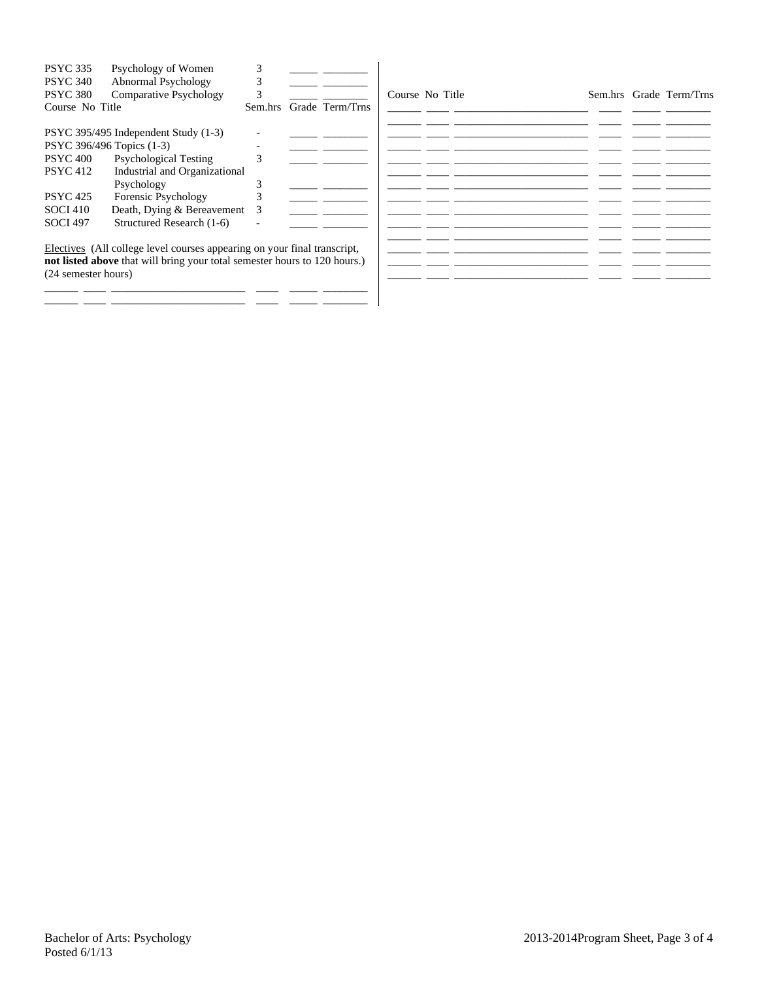| <b>PSYC 335</b><br><b>PSYC 340</b><br><b>PSYC 380</b><br>Course No Title | Psychology of Women<br>Abnormal Psychology<br>Comparative Psychology                                                                                  | Sem.hrs | Grade Term/Trns | Course No Title |  |  | Sem.hrs Grade Term/Trns |
|--------------------------------------------------------------------------|-------------------------------------------------------------------------------------------------------------------------------------------------------|---------|-----------------|-----------------|--|--|-------------------------|
|                                                                          | PSYC 395/495 Independent Study (1-3)                                                                                                                  |         |                 |                 |  |  |                         |
| PSYC 396/496 Topics (1-3)                                                |                                                                                                                                                       |         |                 |                 |  |  |                         |
| <b>PSYC 400</b>                                                          | <b>Psychological Testing</b>                                                                                                                          | ⌒       |                 |                 |  |  |                         |
| <b>PSYC 412</b>                                                          | Industrial and Organizational                                                                                                                         |         |                 |                 |  |  |                         |
|                                                                          | Psychology                                                                                                                                            |         |                 |                 |  |  |                         |
| <b>PSYC</b> 425                                                          | Forensic Psychology                                                                                                                                   |         |                 |                 |  |  |                         |
| <b>SOCI 410</b>                                                          | Death, Dying & Bereavement                                                                                                                            | 3       |                 |                 |  |  |                         |
| <b>SOCI 497</b>                                                          | Structured Research (1-6)                                                                                                                             |         |                 |                 |  |  |                         |
| (24 semester hours)                                                      | Electives (All college level courses appearing on your final transcript,<br>not listed above that will bring your total semester hours to 120 hours.) |         |                 |                 |  |  |                         |

\_\_\_\_\_\_ \_\_\_\_ \_\_\_\_\_\_\_\_\_\_\_\_\_\_\_\_\_\_\_\_\_\_\_\_ \_\_\_\_ \_\_\_\_\_ \_\_\_\_\_\_\_\_ \_\_\_\_\_\_ \_\_\_\_ \_\_\_\_\_\_\_\_\_\_\_\_\_\_\_\_\_\_\_\_\_\_\_\_ \_\_\_\_ \_\_\_\_\_ \_\_\_\_\_\_\_\_